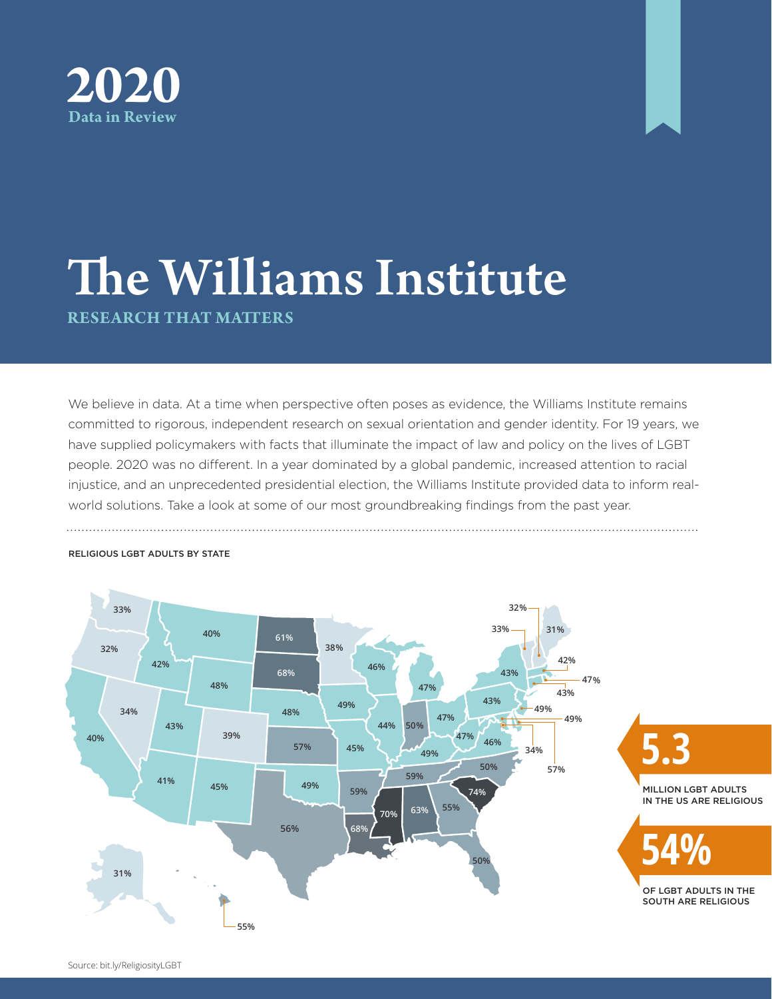



# The Williams Institute **RESEARCH THAT MATTERS**

We believe in data. At a time when perspective often poses as evidence, the Williams Institute remains committed to rigorous, independent research on sexual orientation and gender identity. For 19 years, we have supplied policymakers with facts that illuminate the impact of law and policy on the lives of LGBT people. 2020 was no different. In a year dominated by a global pandemic, increased attention to racial injustice, and an unprecedented presidential election, the Williams Institute provided data to inform realworld solutions. Take a look at some of our most groundbreaking findings from the past year.



### RELIGIOUS LGBT ADULTS BY STATE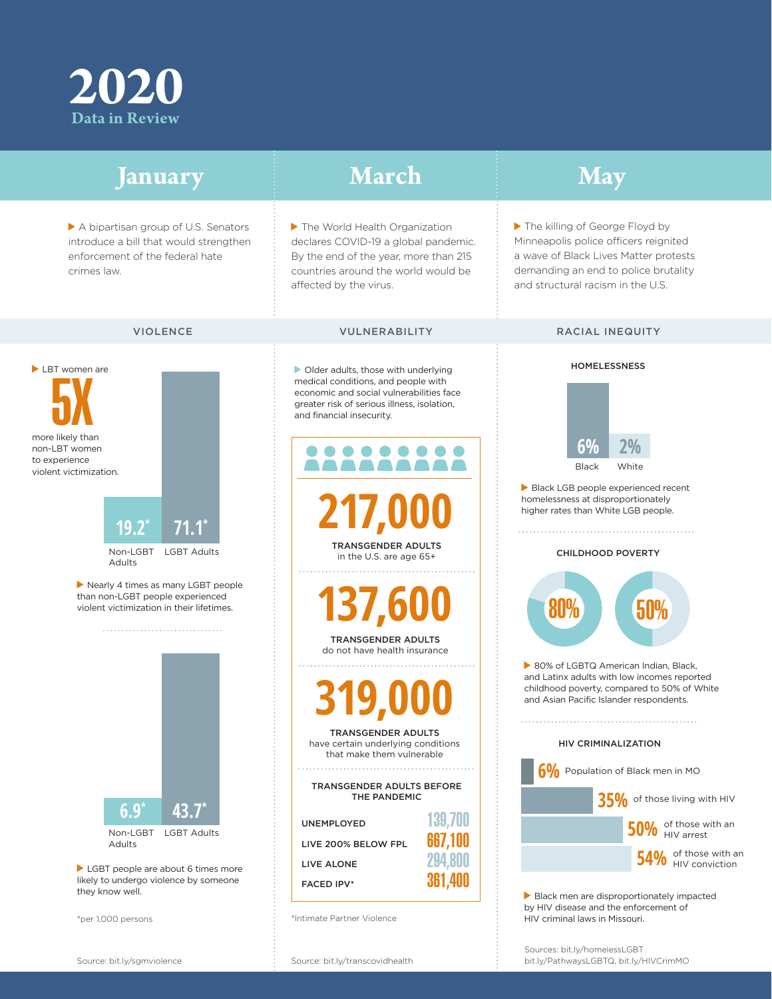

| January                                                                                                                                                                                                                                                                                                                                                                                           | <b>March</b>                                                                                                                                                                                                                                                                                                         | <b>May</b>                                                                                                                                                                                                                                                                        |
|---------------------------------------------------------------------------------------------------------------------------------------------------------------------------------------------------------------------------------------------------------------------------------------------------------------------------------------------------------------------------------------------------|----------------------------------------------------------------------------------------------------------------------------------------------------------------------------------------------------------------------------------------------------------------------------------------------------------------------|-----------------------------------------------------------------------------------------------------------------------------------------------------------------------------------------------------------------------------------------------------------------------------------|
| A bipartisan group of U.S. Senators<br>introduce a bill that would strengthen<br>enforcement of the federal hate<br>crimes law.                                                                                                                                                                                                                                                                   | The World Health Organization<br>declares COVID-19 a global pandemic.<br>By the end of the year, more than 215<br>countries around the world would be<br>affected by the virus.                                                                                                                                      | The killing of George Floyd by<br>Minneapolis police officers reignited<br>a wave of Black Lives Matter protests<br>demanding an end to police brutality<br>and structural racism in the U.S.                                                                                     |
| <b>VIOLENCE</b>                                                                                                                                                                                                                                                                                                                                                                                   | <b>VULNERABILITY</b>                                                                                                                                                                                                                                                                                                 | <b>RACIAL INEQUITY</b>                                                                                                                                                                                                                                                            |
| LBT women are<br>more likely than<br>non-LBT women<br>to experience<br>violent victimization.                                                                                                                                                                                                                                                                                                     | Older adults, those with underlying<br>medical conditions, and people with<br>economic and social vulnerabilities face<br>greater risk of serious illness, isolation,<br>and financial insecurity.                                                                                                                   | <b>HOMELESSNESS</b><br>6%<br><b>Black</b><br>White                                                                                                                                                                                                                                |
| $19.2^*$<br>$71.1^*$<br>Non-LGBT<br><b>LGBT Adults</b><br><b>Adults</b><br>Nearly 4 times as many LGBT people<br>than non-LGBT people experienced<br>violent victimization in their lifetimes.<br>$43.7^{*}$<br>$6.9^{\circ}$<br>Non-LGBT<br><b>LGBT Adults</b><br>Adults<br>LGBT people are about 6 times more<br>likely to undergo violence by someone<br>they know well.<br>*per 1,000 persons | 217,000<br><b>TRANSGENDER ADULTS</b><br>in the U.S. are age 65+                                                                                                                                                                                                                                                      | Black LGB people experienced recent<br>homelessness at disproportionately<br>higher rates than White LGB people.<br><b>CHILDHOOD POVERTY</b>                                                                                                                                      |
|                                                                                                                                                                                                                                                                                                                                                                                                   | 137,600<br><b>TRANSGENDER ADULTS</b><br>do not have health insurance                                                                                                                                                                                                                                                 | 50%<br><b>80%</b><br>80% of LGBTQ American Indian, Black,<br>and Latinx adults with low incomes reported<br>childhood poverty, compared to 50% of White<br>and Asian Pacific Islander respondents.                                                                                |
|                                                                                                                                                                                                                                                                                                                                                                                                   | $\blacksquare$<br><b>TRANSGENDER ADULTS</b><br>have certain underlying conditions<br>that make them vulnerable<br>TRANSGENDER ADULTS BEFORE<br>THE PANDEMIC<br>139,700<br><b>UNEMPLOYED</b><br>667,100<br>LIVE 200% BELOW FPL<br>294,800<br>LIVE ALONE<br>361,400<br><b>FACED IPV*</b><br>*Intimate Partner Violence | <b>HIV CRIMINALIZATION</b><br>Population of Black men in MO<br>35% of those living with HIV<br>50% of those with an<br>of those with an<br>HIV conviction<br>Black men are disproportionately impacted<br>by HIV disease and the enforcement of<br>HIV criminal laws in Missouri. |
|                                                                                                                                                                                                                                                                                                                                                                                                   |                                                                                                                                                                                                                                                                                                                      | Sources: bit.ly/homelessLGBT                                                                                                                                                                                                                                                      |

bit.ly/PathwaysLGBTQ, bit.ly/HIVCrimMO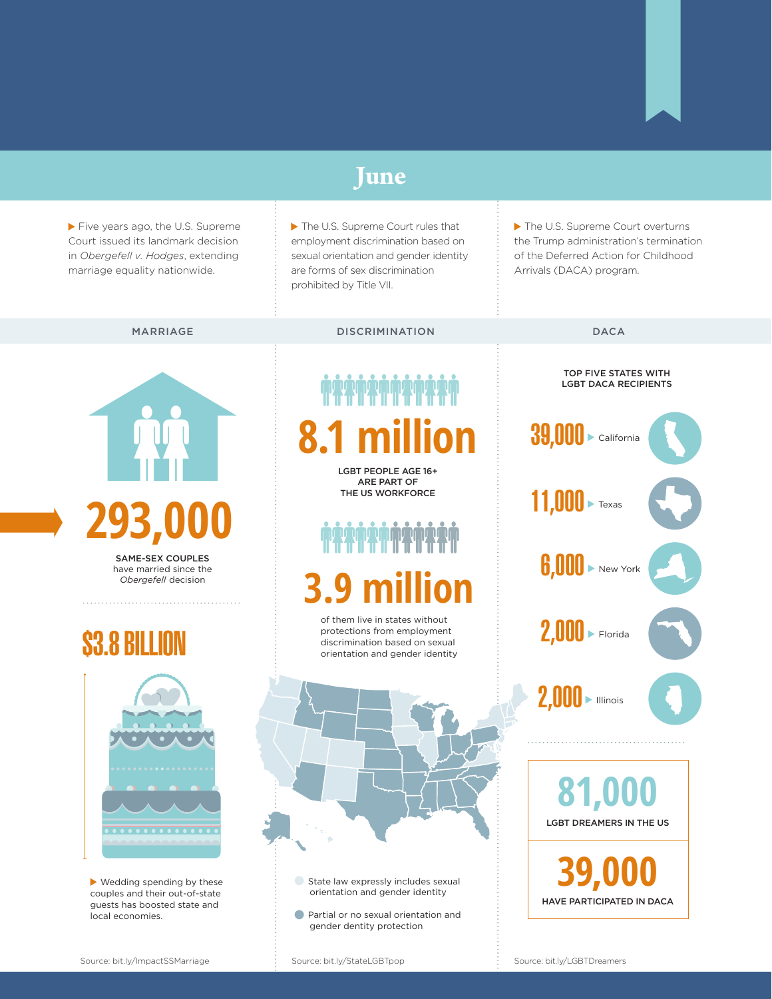### **June**

Five years ago, the U.S. Supreme Court issued its landmark decision in *Obergefell v. Hodges*, extending marriage equality nationwide.

The U.S. Supreme Court rules that employment discrimination based on sexual orientation and gender identity are forms of sex discrimination prohibited by Title VII.

▶ The U.S. Supreme Court overturns the Trump administration's termination of the Deferred Action for Childhood Arrivals (DACA) program.

### MARRIAGE DISCRIMINATION DACA



SAME-SEX COUPLES have married since the *Obergefell* decision

### \$3.8 BILLION



Wedding spending by these couples and their out-of-state guests has boosted state and local economies.

# **8.1 million**

LGBT PEOPLE AGE 16+ ARE PART OF THE US WORKFORCE

# **3.9 mil**

of them live in states without protections from employment discrimination based on sexual orientation and gender identity



- •State law expressly includes sexual orientation and gender identity
- **•** Partial or no sexual orientation and gender dentity protection

#### TOP FIVE STATES WITH LGBT DACA RECIPIENTS